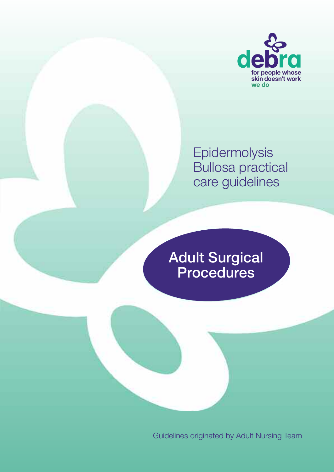

Epidermolysis Bullosa practical care guidelines

Adult Surgical Procedures

Guidelines originated by Adult Nursing Team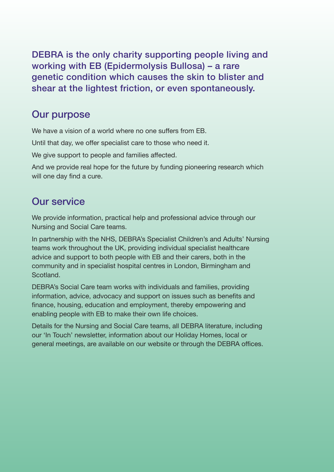DEBRA is the only charity supporting people living and working with EB (Epidermolysis Bullosa) – a rare genetic condition which causes the skin to blister and shear at the lightest friction, or even spontaneously.

### Our purpose

We have a vision of a world where no one suffers from EB.

Until that day, we offer specialist care to those who need it.

We give support to people and families affected.

And we provide real hope for the future by funding pioneering research which will one day find a cure.

## Our service

We provide information, practical help and professional advice through our Nursing and Social Care teams.

In partnership with the NHS, DEBRA's Specialist Children's and Adults' Nursing teams work throughout the UK, providing individual specialist healthcare advice and support to both people with EB and their carers, both in the community and in specialist hospital centres in London, Birmingham and Scotland.

DEBRA's Social Care team works with individuals and families, providing information, advice, advocacy and support on issues such as benefits and finance, housing, education and employment, thereby empowering and enabling people with EB to make their own life choices.

Details for the Nursing and Social Care teams, all DEBRA literature, including our 'In Touch' newsletter, information about our Holiday Homes, local or general meetings, are available on our website or through the DEBRA offices.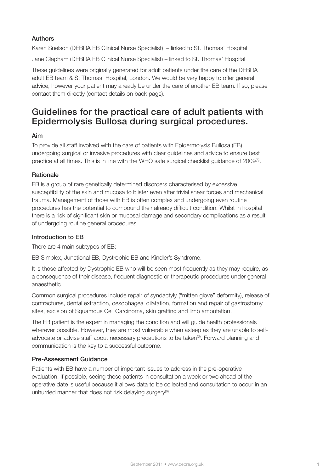#### Authors

Karen Snelson (DEBRA EB Clinical Nurse Specialist) – linked to St. Thomas' Hospital Jane Clapham (DEBRA EB Clinical Nurse Specialist) – linked to St. Thomas' Hospital

These guidelines were originally generated for adult patients under the care of the DEBRA adult EB team & St Thomas' Hospital, London. We would be very happy to offer general advice, however your patient may already be under the care of another EB team. If so, please contact them directly (contact details on back page).

### Guidelines for the practical care of adult patients with Epidermolysis Bullosa during surgical procedures.

#### Aim

To provide all staff involved with the care of patients with Epidermolysis Bullosa (EB) undergoing surgical or invasive procedures with clear guidelines and advice to ensure best practice at all times. This is in line with the WHO safe surgical checklist guidance of 2009 $^{(5)}$ .

#### **Rationale**

EB is a group of rare genetically determined disorders characterised by excessive susceptibility of the skin and mucosa to blister even after trivial shear forces and mechanical trauma. Management of those with EB is often complex and undergoing even routine procedures has the potential to compound their already difficult condition. Whilst in hospital there is a risk of significant skin or mucosal damage and secondary complications as a result of undergoing routine general procedures.

#### Introduction to EB

There are 4 main subtypes of EB:

EB Simplex, Junctional EB, Dystrophic EB and Kindler's Syndrome.

It is those affected by Dystrophic EB who will be seen most frequently as they may require, as a consequence of their disease, frequent diagnostic or therapeutic procedures under general anaesthetic.

Common surgical procedures include repair of syndactyly ("mitten glove" deformity), release of contractures, dental extraction, oesophageal dilatation, formation and repair of gastrostomy sites, excision of Squamous Cell Carcinoma, skin grafting and limb amputation.

The EB patient is the expert in managing the condition and will guide health professionals wherever possible. However, they are most vulnerable when asleep as they are unable to selfadvocate or advise staff about necessary precautions to be taken<sup>(3)</sup>. Forward planning and communication is the key to a successful outcome.

### Pre-Assessment Guidance

Patients with EB have a number of important issues to address in the pre-operative evaluation. If possible, seeing these patients in consultation a week or two ahead of the operative date is useful because it allows data to be collected and consultation to occur in an unhurried manner that does not risk delaying surgery<sup>(6)</sup>.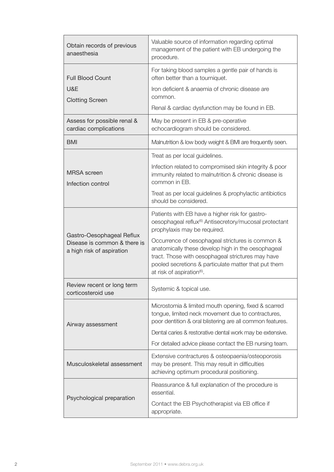| Obtain records of previous<br>anaesthesia                                              | Valuable source of information regarding optimal<br>management of the patient with EB undergoing the<br>procedure.                                                                                                                                            |
|----------------------------------------------------------------------------------------|---------------------------------------------------------------------------------------------------------------------------------------------------------------------------------------------------------------------------------------------------------------|
| <b>Full Blood Count</b>                                                                | For taking blood samples a gentle pair of hands is<br>often better than a tourniquet.                                                                                                                                                                         |
| U&E<br><b>Clotting Screen</b>                                                          | Iron deficient & anaemia of chronic disease are<br>common.                                                                                                                                                                                                    |
|                                                                                        | Renal & cardiac dysfunction may be found in EB.                                                                                                                                                                                                               |
| Assess for possible renal &<br>cardiac complications                                   | May be present in EB & pre-operative<br>echocardiogram should be considered.                                                                                                                                                                                  |
| <b>BMI</b>                                                                             | Malnutrition & low body weight & BMI are frequently seen.                                                                                                                                                                                                     |
|                                                                                        | Treat as per local guidelines.                                                                                                                                                                                                                                |
| <b>MRSA</b> screen<br>Infection control                                                | Infection related to compromised skin integrity & poor<br>immunity related to malnutrition & chronic disease is<br>common in EB.                                                                                                                              |
|                                                                                        | Treat as per local guidelines & prophylactic antibiotics<br>should be considered.                                                                                                                                                                             |
| Gastro-Oesophageal Reflux<br>Disease is common & there is<br>a high risk of aspiration | Patients with EB have a higher risk for gastro-<br>oesophageal reflux <sup>(6)</sup> Antisecretory/mucosal protectant<br>prophylaxis may be required.                                                                                                         |
|                                                                                        | Occurrence of oesophageal strictures is common &<br>anatomically these develop high in the oesophageal<br>tract. Those with oesophageal strictures may have<br>pooled secretions & particulate matter that put them<br>at risk of aspiration <sup>(6)</sup> . |
| Review recent or long term<br>corticosteroid use                                       | Systemic & topical use.                                                                                                                                                                                                                                       |
| Airway assessment                                                                      | Microstomia & limited mouth opening, fixed & scarred<br>tongue, limited neck movement due to contractures,<br>poor dentition & oral blistering are all common features.                                                                                       |
|                                                                                        | Dental caries & restorative dental work may be extensive.                                                                                                                                                                                                     |
|                                                                                        | For detailed advice please contact the EB nursing team.                                                                                                                                                                                                       |
| Musculoskeletal assessment                                                             | Extensive contractures & osteopaenia/osteoporosis<br>may be present. This may result in difficulties<br>achieving optimum procedural positioning.                                                                                                             |
|                                                                                        | Reassurance & full explanation of the procedure is<br>essential.                                                                                                                                                                                              |
| Psychological preparation                                                              | Contact the EB Psychotherapist via EB office if<br>appropriate.                                                                                                                                                                                               |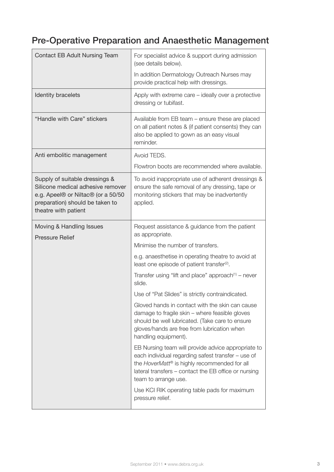## Pre-Operative Preparation and Anaesthetic Management

| Contact EB Adult Nursing Team                                                                                                                                        | For specialist advice & support during admission<br>(see details below).                                                                                                                                                                 |
|----------------------------------------------------------------------------------------------------------------------------------------------------------------------|------------------------------------------------------------------------------------------------------------------------------------------------------------------------------------------------------------------------------------------|
|                                                                                                                                                                      | In addition Dermatology Outreach Nurses may<br>provide practical help with dressings.                                                                                                                                                    |
| Identity bracelets                                                                                                                                                   | Apply with extreme care - ideally over a protective<br>dressing or tubifast.                                                                                                                                                             |
| "Handle with Care" stickers                                                                                                                                          | Available from EB team – ensure these are placed<br>on all patient notes & (if patient consents) they can<br>also be applied to gown as an easy visual<br>reminder.                                                                      |
| Anti embolitic management                                                                                                                                            | Avoid TEDS.                                                                                                                                                                                                                              |
|                                                                                                                                                                      | Flowtron boots are recommended where available.                                                                                                                                                                                          |
| Supply of suitable dressings &<br>Silicone medical adhesive remover<br>e.g. Apeel® or Niltac® (or a 50/50<br>preparation) should be taken to<br>theatre with patient | To avoid inappropriate use of adherent dressings &<br>ensure the safe removal of any dressing, tape or<br>monitoring stickers that may be inadvertently<br>applied.                                                                      |
| Moving & Handling Issues<br><b>Pressure Relief</b>                                                                                                                   | Request assistance & guidance from the patient<br>as appropriate.                                                                                                                                                                        |
|                                                                                                                                                                      | Minimise the number of transfers.                                                                                                                                                                                                        |
|                                                                                                                                                                      | e.g. anaesthetise in operating theatre to avoid at<br>least one episode of patient transfer <sup>(2)</sup> .                                                                                                                             |
|                                                                                                                                                                      | Transfer using "lift and place" approach $(1)$ – never<br>slide.                                                                                                                                                                         |
|                                                                                                                                                                      | Use of "Pat Slides" is strictly contraindicated.                                                                                                                                                                                         |
|                                                                                                                                                                      | Gloved hands in contact with the skin can cause<br>damage to fragile skin - where feasible gloves<br>should be well lubricated. (Take care to ensure<br>gloves/hands are free from lubrication when<br>handling equipment).              |
|                                                                                                                                                                      | EB Nursing team will provide advice appropriate to<br>each individual regarding safest transfer - use of<br>the HoverMatt® is highly recommended for all<br>lateral transfers - contact the EB office or nursing<br>team to arrange use. |
|                                                                                                                                                                      | Use KCI RIK operating table pads for maximum<br>pressure relief.                                                                                                                                                                         |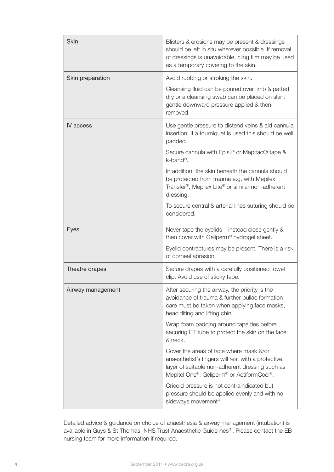| <b>Skin</b>       | Blisters & erosions may be present & dressings<br>should be left in situ wherever possible. If removal<br>of dressings is unavoidable, cling film may be used<br>as a temporary covering to the skin. |
|-------------------|-------------------------------------------------------------------------------------------------------------------------------------------------------------------------------------------------------|
| Skin preparation  | Avoid rubbing or stroking the skin.                                                                                                                                                                   |
|                   | Cleansing fluid can be poured over limb & patted<br>dry or a cleansing swab can be placed on skin,<br>gentle downward pressure applied & then<br>removed.                                             |
| IV access         | Use gentle pressure to distend veins & aid cannula<br>insertion. If a tourniquet is used this should be well<br>padded.                                                                               |
|                   | Secure cannula with Episil <sup>®</sup> or Mepitac <sup>®</sup> tape &<br>k-band®.                                                                                                                    |
|                   | In addition, the skin beneath the cannula should<br>be protected from trauma e.g. with Mepilex<br>Transfer <sup>®</sup> , Mepilex Lite <sup>®</sup> or similar non-adherent<br>dressing.              |
|                   | To secure central & arterial lines suturing should be<br>considered.                                                                                                                                  |
| Eyes              | Never tape the eyelids $-$ instead close gently $\&$<br>then cover with Geliperm® hydrogel sheet.                                                                                                     |
|                   | Eyelid contractures may be present. There is a risk<br>of corneal abrasion.                                                                                                                           |
| Theatre drapes    | Secure drapes with a carefully positioned towel<br>clip. Avoid use of sticky tape.                                                                                                                    |
| Airway management | After securing the airway, the priority is the<br>avoidance of trauma & further bullae formation -<br>care must be taken when applying face masks,<br>head tilting and lifting chin.                  |
|                   | Wrap foam padding around tape ties before<br>securing ET tube to protect the skin on the face<br>& neck.                                                                                              |
|                   | Cover the areas of face where mask &/or<br>anaesthetist's fingers will rest with a protective<br>layer of suitable non-adherent dressing such as<br>Mepitel One®, Geliperm® or ActiformCool®.         |
|                   | Cricoid pressure is not contraindicated but<br>pressure should be applied evenly and with no<br>sideways movement <sup>(4)</sup> .                                                                    |

Detailed advice & guidance on choice of anaesthesia & airway management (intubation) is available in Guys & St Thomas' NHS Trust Anaesthetic Guidelines<sup>(1)</sup>. Please contact the EB nursing team for more information if required.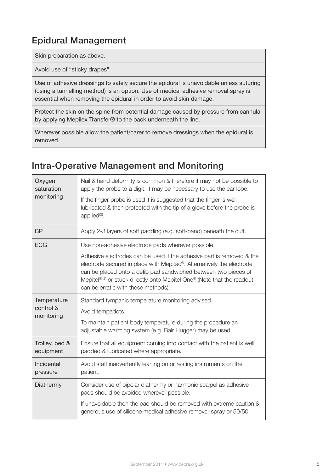## Epidural Management

Skin preparation as above.

Avoid use of "sticky drapes".

Use of adhesive dressings to safely secure the epidural is unavoidable unless suturing (using a tunnelling method) is an option. Use of medical adhesive removal spray is essential when removing the epidural in order to avoid skin damage.

Protect the skin on the spine from potential damage caused by pressure from cannula by applying Mepilex Transfer® to the back underneath the line.

Wherever possible allow the patient/carer to remove dressings when the epidural is removed.

### Intra-Operative Management and Monitoring

| Oxygen<br>saturation<br>monitoring     | Nail & hand deformity is common & therefore it may not be possible to<br>apply the probe to a digit. It may be necessary to use the ear lobe.<br>If the finger probe is used it is suggested that the finger is well<br>lubricated & then protected with the tip of a glove before the probe is<br>applied <sup>(2)</sup> .                                                                          |
|----------------------------------------|------------------------------------------------------------------------------------------------------------------------------------------------------------------------------------------------------------------------------------------------------------------------------------------------------------------------------------------------------------------------------------------------------|
| <b>BP</b>                              | Apply 2-3 layers of soft padding (e.g. soft-band) beneath the cuff.                                                                                                                                                                                                                                                                                                                                  |
| <b>ECG</b>                             | Use non-adhesive electrode pads wherever possible.<br>Adhesive electrodes can be used if the adhesive part is removed & the<br>electrode secured in place with Mepitac®. Alternatively the electrode<br>can be placed onto a defib pad sandwiched between two pieces of<br>Mepitel® <sup>(2)</sup> or stuck directly onto Mepitel One® (Note that the readout<br>can be erratic with these methods). |
| Temperature<br>control &<br>monitoring | Standard tympanic temperature monitoring advised.<br>Avoid tempadots.<br>To maintain patient body temperature during the procedure an<br>adjustable warming system (e.g. Bair Hugger) may be used.                                                                                                                                                                                                   |
| Trolley, bed &<br>equipment            | Ensure that all equipment coming into contact with the patient is well<br>padded & lubricated where appropriate.                                                                                                                                                                                                                                                                                     |
| Incidental<br>pressure                 | Avoid staff inadvertently leaning on or resting instruments on the<br>patient.                                                                                                                                                                                                                                                                                                                       |
| Diathermy                              | Consider use of bipolar diathermy or harmonic scalpel as adhesive<br>pads should be avoided wherever possible.<br>If unavoidable then the pad should be removed with extreme caution &<br>generous use of silicone medical adhesive remover spray or 50/50.                                                                                                                                          |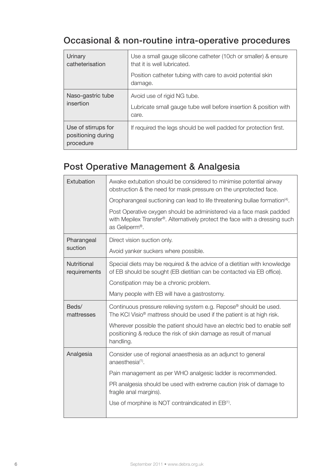### Occasional & non-routine intra-operative procedures

| Urinary<br>catheterisation                             | Use a small gauge silicone catheter (10ch or smaller) & ensure<br>that it is well lubricated.<br>Position catheter tubing with care to avoid potential skin<br>damage. |
|--------------------------------------------------------|------------------------------------------------------------------------------------------------------------------------------------------------------------------------|
| Naso-gastric tube<br>insertion                         | Avoid use of rigid NG tube.<br>Lubricate small gauge tube well before insertion & position with<br>care.                                                               |
| Use of stirrups for<br>positioning during<br>procedure | If required the legs should be well padded for protection first.                                                                                                       |

### Post Operative Management & Analgesia

| Extubation                  | Awake extubation should be considered to minimise potential airway<br>obstruction & the need for mask pressure on the unprotected face.                             |
|-----------------------------|---------------------------------------------------------------------------------------------------------------------------------------------------------------------|
|                             | Oropharangeal suctioning can lead to life threatening bullae formation <sup>(4)</sup> .                                                                             |
|                             | Post Operative oxygen should be administered via a face mask padded<br>with Mepilex Transfer®. Alternatively protect the face with a dressing such<br>as Geliperm®. |
| Pharangeal                  | Direct vision suction only.                                                                                                                                         |
| suction                     | Avoid yanker suckers where possible.                                                                                                                                |
| Nutritional<br>requirements | Special diets may be required & the advice of a dietitian with knowledge<br>of EB should be sought (EB dietitian can be contacted via EB office).                   |
|                             | Constipation may be a chronic problem.                                                                                                                              |
|                             | Many people with EB will have a gastrostomy.                                                                                                                        |
| Beds/<br>mattresses         | Continuous pressure relieving system e.g. Repose® should be used.<br>The KCI Visio <sup>®</sup> mattress should be used if the patient is at high risk.             |
|                             | Wherever possible the patient should have an electric bed to enable self                                                                                            |
|                             | positioning & reduce the risk of skin damage as result of manual<br>handling.                                                                                       |
| Analgesia                   | Consider use of regional anaesthesia as an adjunct to general<br>anaesthesia <sup>(1)</sup> .                                                                       |
|                             | Pain management as per WHO analgesic ladder is recommended.                                                                                                         |
|                             | PR analgesia should be used with extreme caution (risk of damage to<br>fragile anal margins).                                                                       |
|                             | Use of morphine is NOT contraindicated in EB <sup>(1)</sup> .                                                                                                       |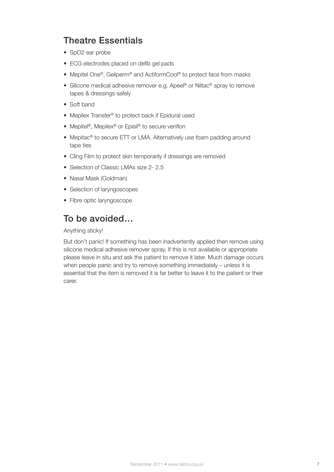### Theatre Essentials

- SpO2 ear probe
- ECG electrodes placed on defib gel pads
- Mepitel One®, Geliperm® and ActiformCool® to protect face from masks
- Silicone medical adhesive remover e.g. Apeel® or Niltac® spray to remove tapes & dressings safely
- Soft band
- Mepilex Transfer ® to protect back if Epidural used
- Mepitel<sup>®</sup>, Mepilex<sup>®</sup> or Episil<sup>®</sup> to secure venflon
- Mepitac® to secure ETT or LMA. Alternatively use foam padding around tape ties
- Cling Film to protect skin temporarily if dressings are removed
- Selection of Classic LMAs size 2- 2.5
- Nasal Mask (Goldman)
- Selection of laryngoscopes
- Fibre optic laryngoscope

### To be avoided…

#### Anything sticky!

But don't panic! If something has been inadvertently applied then remove using silicone medical adhesive remover spray. If this is not available or appropriate please leave in situ and ask the patient to remove it later. Much damage occurs when people panic and try to remove something immediately – unless it is essential that the item is removed it is far better to leave it to the patient or their carer.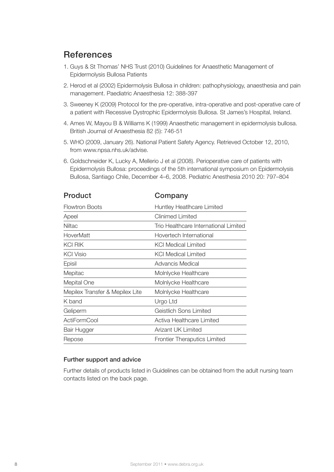### **References**

- 1. Guys & St Thomas' NHS Trust (2010) Guidelines for Anaesthetic Management of Epidermolysis Bullosa Patients
- 2. Herod et al (2002) Epidermolysis Bullosa in children: pathophysiology, anaesthesia and pain management. Paediatric Anaesthesia 12: 388-397
- 3. Sweeney K (2009) Protocol for the pre-operative, intra-operative and post-operative care of a patient with Recessive Dystrophic Epidermolysis Bullosa. St James's Hospital, Ireland.
- 4. Ames W, Mayou B & Williams K (1999) Anaesthetic management in epidermolysis bullosa. British Journal of Anaesthesia 82 (5): 746-51
- 5. WHO (2009, January 26). National Patient Safety Agency. Retrieved October 12, 2010, from www.npsa.nhs.uk/advise.
- 6. Goldschneider K, Lucky A, Mellerio J et al (2008). Perioperative care of patients with Epidermolysis Bullosa: proceedings of the 5th international symposium on Epidermolysis Bullosa, Santiago Chile, December 4–6, 2008. Pediatric Anesthesia 2010 20: 797–804

| Product                         | Company                               |
|---------------------------------|---------------------------------------|
| Flowtron Boots                  | Huntley Heatlhcare Limited            |
| Apeel                           | Clinimed Limited                      |
| <b>Niltac</b>                   | Trio Healthcare International Limited |
| HoverMatt                       | Hovertech International               |
| KCI RIK                         | <b>KCI Medical Limited</b>            |
| <b>KCI Visio</b>                | <b>KCI Medical Limited</b>            |
| Episil                          | Advancis Medical                      |
| Mepitac                         | Molnlycke Healthcare                  |
| Mepital One                     | Molnlycke Healthcare                  |
| Mepilex Transfer & Mepilex Lite | Molnlycke Healthcare                  |
| K band                          | Urgo Ltd                              |
| Geliperm                        | Geistlich Sons Limited                |
| <b>ActiFormCool</b>             | Activa Healthcare Limited             |
| Bair Hugger                     | Arizant UK Limited                    |
| Repose                          | <b>Frontier Theraputics Limited</b>   |

#### Further support and advice

Further details of products listed in Guidelines can be obtained from the adult nursing team contacts listed on the back page.